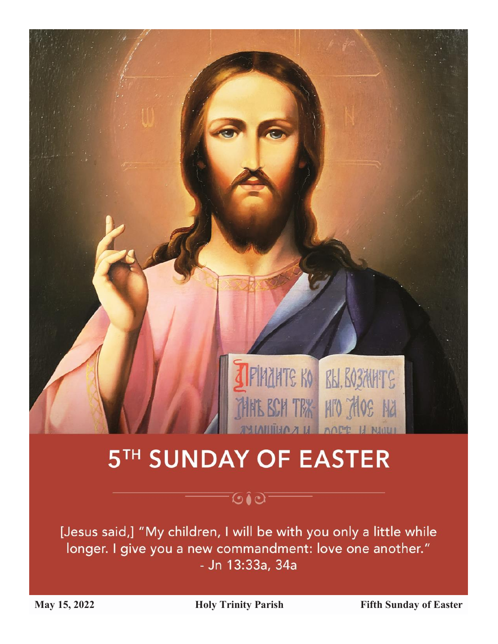

# 5TH SUNDAY OF EASTER

## **OO**

[Jesus said,] "My children, I will be with you only a little while longer. I give you a new commandment: love one another." - Jn 13:33a, 34a

May 15, 2022 **Holy Trinity Parish Fifth Sunday of Easter**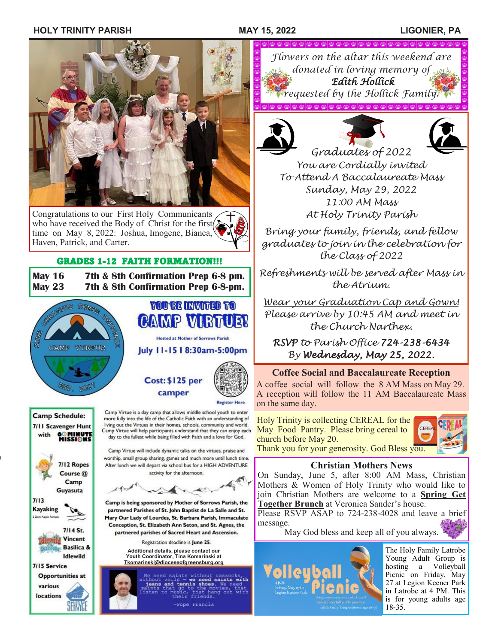### **HOLY TRINITY PARISH MAY 15, 2022 LIGONIER, PA**



Congratulations to our First Holy Communicants who have received the Body of Christ for the first $\sum$ time on May 8, 2022: Joshua, Imogene, Bianca, Haven, Patrick, and Carter.

### GRADES 1-12 FAITH FORMATION!!!

**May 16 7th & 8th Confirmation Prep 6-8 pm. May 23 7th & 8th Confirmation Prep 6-8-pm.**



**CAMP VIBTUET Hosted at Mother of Sorrows Parish** 

**YOU'RE INVITED TO** 

July 11-15 | 8:30am-5:00pm





7/11 Scavenger Hunt **60 MINUTE**<br>MISSIONS with 7/12 Ropes Course @ Camp Guvasuta  $7113$ **Kayaking** 7/14 St. Vincent **Basilica & Idlewild** 7/15 Service **Opportunities at** various locations

**Camp Schedule:** 

**Tkomarinski@dioceseofgreensburg.org**

more fully into the life of the Catholic Faith with an understanding of living out the Virtues in their homes, schools, community and world. Camp Virtue will help participants understand that they can enjoy each day to the fullest while being filled with Faith and a love for God. Camp Virtue will include dynamic talks on the virtues, praise and worship, small group sharing, games and much more until lunch time. After lunch we will depart via school bus for a HIGH ADVENTURE activity for the afternoon

Camp Virtue is a day camp that allows middle school youth to enter

Camp is being sponsored by Mother of Sorrows Parish, the partnered Parishes of St. John Baptist de La Salle and St. Mary Our Lady of Lourdes, St. Barbara Parish, Immaculate Conception, St. Elizabeth Ann Seton, and St. Agnes, the partnered parishes of Sacred Heart and Ascension.

Registration deadline is June 25.

**Additional details, please contact our Youth Coordinator, Tina Komarinski at Tkomarinski@dioceseofgreensburg.org**

e need saints without case<br>thout veils - we need sain<br>jeans and tennis shoes. We<br>ints that go to the movie saints with go to the mo<br>sic, that han<br>meir friends. -Pope Francis

*Flowers on the altar this weekend are donated in loving memory of Edith Hollick requested by the Hollick Family.*

 $\langle \Delta \rangle \langle \Delta \rangle \langle \Delta \rangle \langle \Delta \rangle \langle \Delta \rangle \langle \Delta \rangle \langle \Delta \rangle \langle \Delta \rangle \langle \Delta \rangle \langle \Delta \rangle \langle \Delta \rangle \langle \Delta \rangle \langle \Delta \rangle \langle \Delta \rangle \langle \Delta \rangle \langle \Delta \rangle \langle \Delta \rangle \langle \Delta \rangle$ 





*Graduates of 2022 You are Cordially invited To Attend A Baccalaureate Mass Sunday, May 29, 2022 11:00 AM Mass At Holy Trinity Parish*

*Bring your family, friends, and fellow graduates to join in the celebration for the Class of 2022*

*Refreshments will be served after Mass in the Atrium.*

*Wear your Graduation Cap and Gown! Please arrive by 10:45 AM and meet in the Church Narthex.*

*RSVP to Parish Office 724-238-6434 By Wednesday, May 25, 2022.*

### **Coffee Social and Baccalaureate Reception**

A coffee social will follow the 8 AM Mass on May 29. A reception will follow the 11 AM Baccalaureate Mass on the same day.

Holy Trinity is collecting CEREAL for the May Food Pantry. Please bring cereal to church before May 20. Thank you for your generosity. God Bless you.



**Christian Mothers News**

On Sunday, June 5, after 8:00 AM Mass, Christian Mothers & Women of Holy Trinity who would like to join Christian Mothers are welcome to a **Spring Get Together Brunch** at Veronica Sander's house.

Please RSVP ASAP to 724-238-4028 and leave a brief message.

May God bless and keep all of you always.



The Holy Family Latrobe Young Adult Group is hosting a Volleyball Picnic on Friday, May 27 at Legion Keener Park in Latrobe at 4 PM. This is for young adults age 18-35.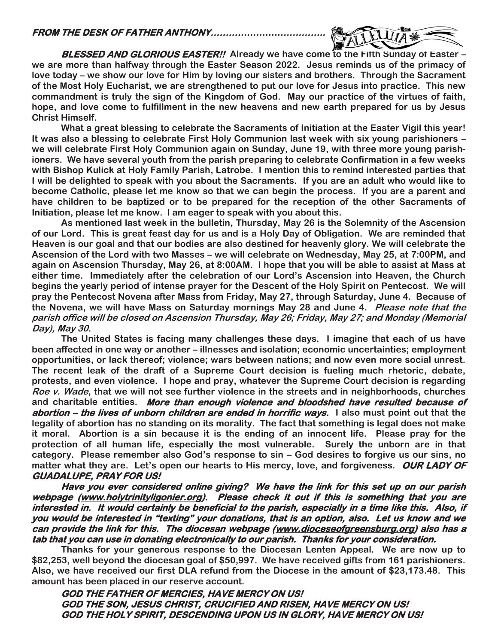

 **BLESSED AND GLORIOUS EASTER!! Already we have come to the Fifth Sunday of Easter – we are more than halfway through the Easter Season 2022. Jesus reminds us of the primacy of love today – we show our love for Him by loving our sisters and brothers. Through the Sacrament of the Most Holy Eucharist, we are strengthened to put our love for Jesus into practice. This new commandment is truly the sign of the Kingdom of God. May our practice of the virtues of faith, hope, and love come to fulfillment in the new heavens and new earth prepared for us by Jesus Christ Himself.**

**What a great blessing to celebrate the Sacraments of Initiation at the Easter Vigil this year! It was also a blessing to celebrate First Holy Communion last week with six young parishioners – we will celebrate First Holy Communion again on Sunday, June 19, with three more young parishioners. We have several youth from the parish preparing to celebrate Confirmation in a few weeks with Bishop Kulick at Holy Family Parish, Latrobe. I mention this to remind interested parties that I will be delighted to speak with you about the Sacraments. If you are an adult who would like to become Catholic, please let me know so that we can begin the process. If you are a parent and have children to be baptized or to be prepared for the reception of the other Sacraments of Initiation, please let me know. I am eager to speak with you about this.**

**As mentioned last week in the bulletin, Thursday, May 26 is the Solemnity of the Ascension of our Lord. This is great feast day for us and is a Holy Day of Obligation. We are reminded that Heaven is our goal and that our bodies are also destined for heavenly glory. We will celebrate the Ascension of the Lord with two Masses – we will celebrate on Wednesday, May 25, at 7:00PM, and again on Ascension Thursday, May 26, at 8:00AM. I hope that you will be able to assist at Mass at either time. Immediately after the celebration of our Lord's Ascension into Heaven, the Church begins the yearly period of intense prayer for the Descent of the Holy Spirit on Pentecost. We will pray the Pentecost Novena after Mass from Friday, May 27, through Saturday, June 4. Because of the Novena, we will have Mass on Saturday mornings May 28 and June 4. Please note that the parish office will be closed on Ascension Thursday, May 26; Friday, May 27; and Monday (Memorial Day), May 30.**

**The United States is facing many challenges these days. I imagine that each of us have been affected in one way or another – illnesses and isolation; economic uncertainties; employment opportunities, or lack thereof; violence; wars between nations; and now even more social unrest. The recent leak of the draft of a Supreme Court decision is fueling much rhetoric, debate, protests, and even violence. I hope and pray, whatever the Supreme Court decision is regarding Roe v. Wade, that we will not see further violence in the streets and in neighborhoods, churches and charitable entities. More than enough violence and bloodshed have resulted because of abortion – the lives of unborn children are ended in horrific ways. I also must point out that the legality of abortion has no standing on its morality. The fact that something is legal does not make it moral. Abortion is a sin because it is the ending of an innocent life. Please pray for the protection of all human life, especially the most vulnerable. Surely the unborn are in that category. Please remember also God's response to sin – God desires to forgive us our sins, no matter what they are. Let's open our hearts to His mercy, love, and forgiveness. OUR LADY OF GUADALUPE, PRAY FOR US!** 

**Have you ever considered online giving? We have the link for this set up on our parish webpage [\(www.holytrinityligonier.org\)](http://www.holytrinityligonier.org). Please check it out if this is something that you are interested in. It would certainly be beneficial to the parish, especially in a time like this. Also, if you would be interested in "texting" your donations, that is an option, also. Let us know and we can provide the link for this. The diocesan webpage [\(www.dioceseofgreensburg.org\)](http://www.dioceseofgreensburg.org) also has a tab that you can use in donating electronically to our parish. Thanks for your consideration.** 

**Thanks for your generous response to the Diocesan Lenten Appeal. We are now up to \$82,253, well beyond the diocesan goal of \$50,997. We have received gifts from 161 parishioners. Also, we have received our first DLA refund from the Diocese in the amount of \$23,173.48. This amount has been placed in our reserve account.**

**GOD THE FATHER OF MERCIES, HAVE MERCY ON US! GOD THE SON, JESUS CHRIST, CRUCIFIED AND RISEN, HAVE MERCY ON US! GOD THE HOLY SPIRIT, DESCENDING UPON US IN GLORY, HAVE MERCY ON US!**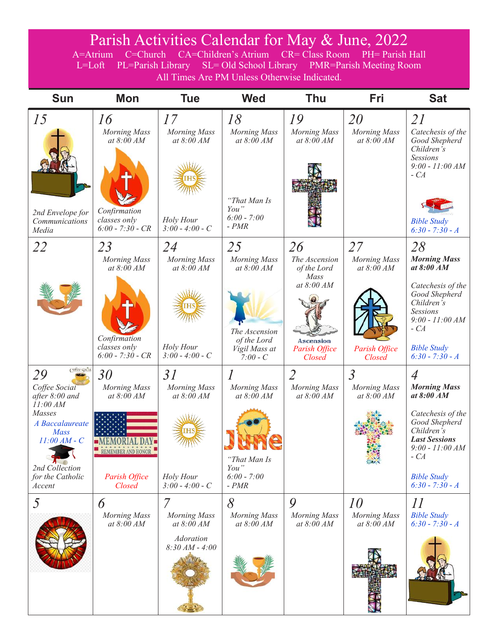### Parish Activities Calendar for May & June, 2022

A=Atrium C=Church CA=Children's Atrium CR= Class Room PH= Parish Hall L=Loft PL=Parish Library SL= Old School Library PMR=Parish Meeting Room All Times Are PM Unless Otherwise Indicated.

| <b>Sun</b>                                                                                                                                                                       | <b>Mon</b>                                                                                      | <b>Tue</b>                                                                     | <b>Wed</b>                                                                                               | Thu                                                                                                     | Fri                                                                  | <b>Sat</b>                                                                                                                                                                                    |
|----------------------------------------------------------------------------------------------------------------------------------------------------------------------------------|-------------------------------------------------------------------------------------------------|--------------------------------------------------------------------------------|----------------------------------------------------------------------------------------------------------|---------------------------------------------------------------------------------------------------------|----------------------------------------------------------------------|-----------------------------------------------------------------------------------------------------------------------------------------------------------------------------------------------|
| 15<br>2nd Envelope for<br>Communications<br>Media                                                                                                                                | 16<br><b>Morning Mass</b><br>at 8:00 AM<br>Confirmation<br>classes only<br>$6:00 - 7:30 - CR$   | 17<br><b>Morning Mass</b><br>at 8:00 AM<br>Holy Hour<br>$3:00 - 4:00 - C$      | 18<br><b>Morning Mass</b><br>at 8:00 AM<br>"That Man Is<br>You"<br>$6:00 - 7:00$<br>$- PMR$              | 19<br><b>Morning Mass</b><br>at 8:00 AM                                                                 | 20<br>Morning Mass<br>at 8:00 AM                                     | 21<br>Catechesis of the<br>Good Shepherd<br>Children's<br><b>Sessions</b><br>$9:00 - 11:00 AM$<br>$-CA$<br><b>Bible Study</b><br>$6:30 - 7:30 - A$                                            |
| 22                                                                                                                                                                               | 23<br><b>Morning Mass</b><br>at $8:00$ AM<br>Confirmation<br>classes only<br>$6:00 - 7:30 - CR$ | 24<br><b>Morning Mass</b><br>at $8:00$ AM<br>Holy Hour<br>$3:00 - 4:00 - C$    | 25<br><b>Morning Mass</b><br>at $8:00 AM$<br>The Ascension<br>of the Lord<br>Vigil Mass at<br>$7:00 - C$ | 26<br>The Ascension<br>of the Lord<br>Mass<br>at 8:00 AM<br><b>Ascension</b><br>Parish Office<br>Closed | 27<br><b>Morning Mass</b><br>at $8:00$ AM<br>Parish Office<br>Closed | 28<br><b>Morning Mass</b><br>at $8:00$ AM<br>Catechesis of the<br>Good Shepherd<br>Children's<br><b>Sessions</b><br>$9:00 - 11:00 AM$<br>$-CA$<br><b>Bible Study</b><br>$6:30 - 7:30 - A$     |
| cyttee cocial<br>29<br>Coffee Social<br>after 8:00 and<br>11:00 AM<br>Masses<br>A Baccalaureate<br><b>Mass</b><br>$11:00 AM - C$<br>2nd Collection<br>for the Catholic<br>Accent | 30<br><b>Morning Mass</b><br>at 8:00 AM<br><b>REMEMBER AND HONOR</b><br>Parish Office<br>Closed | 31<br><b>Morning Mass</b><br>at $8:00 AM$<br>Holy Hour<br>$3:00 - 4:00 - C$    | $\mathcal I$<br><b>Morning Mass</b><br>at 8:00 AM<br>"That Man Is<br>You"<br>$6:00 - 7:00$<br>$- PMR$    | $\overline{2}$<br><b>Morning Mass</b><br>at $8:00 AM$                                                   | $\overline{3}$<br>Morning Mass<br>at $8:00 AM$<br>$\mathbb{Z}$       | 4<br><b>Morning Mass</b><br>at $8:00$ AM<br>Catechesis of the<br>Good Shepherd<br>Children's<br><b>Last Sessions</b><br>$9:00 - 11:00 AM$<br>$-CA$<br><b>Bible Study</b><br>$6:30 - 7:30 - A$ |
| 5                                                                                                                                                                                | 6<br><b>Morning Mass</b><br>at 8:00 AM                                                          | 7<br><b>Morning Mass</b><br>at 8:00 AM<br><b>Adoration</b><br>$8:30 AM - 4:00$ | 8<br>Morning Mass<br>at $8:00 AM$                                                                        | 9<br><b>Morning Mass</b><br>at $8:00 AM$                                                                | 10<br>Morning Mass<br>at 8:00 AM                                     | $\mathcal{U}% =\mathcal{U}^{\prime}\mathcal{U}^{\prime}+\mathcal{U}^{\prime}\mathcal{U}^{\prime}$<br><b>Bible Study</b><br>$6:30 - 7:30 - A$                                                  |